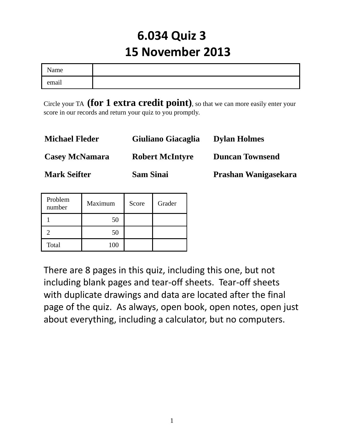# **6.034 Quiz 3 15 November 2013**

| $\sum$ |  |
|--------|--|
| email  |  |

Circle your TA **(for 1 extra credit point)**, so that we can more easily enter your score in our records and return your quiz to you promptly.

| <b>Michael Fleder</b> | Giuliano Giacaglia     | <b>Dylan Holmes</b>    |
|-----------------------|------------------------|------------------------|
| <b>Casey McNamara</b> | <b>Robert McIntyre</b> | <b>Duncan Townsend</b> |
| <b>Mark Seifter</b>   | <b>Sam Sinai</b>       | Prashan Wanigasekara   |

| Problem<br>number | Maximum | Score | Grader |
|-------------------|---------|-------|--------|
|                   | 50      |       |        |
|                   | 50      |       |        |
| Total             | 100     |       |        |

There are 8 pages in this quiz, including this one, but not including blank pages and tear‐off sheets. Tear‐off sheets with duplicate drawings and data are located after the final page of the quiz. As always, open book, open notes, open just about everything, including a calculator, but no computers.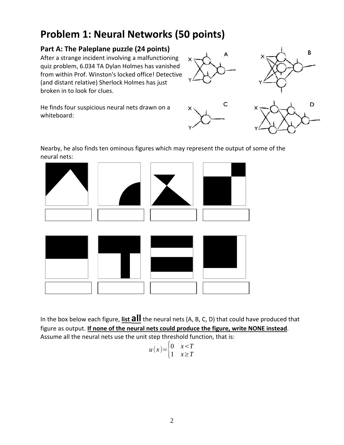## **Problem 1: Neural Networks (50 points)**

#### **Part A: The Paleplane puzzle (24 points)**

After a strange incident involving a malfunctioning quiz problem, 6.034 TA Dylan Holmes has vanished from within Prof. Winston's locked office! Detective (and distant relative) Sherlock Holmes has just broken in to look for clues.



He finds four suspicious neural nets drawn on a whiteboard:

Nearby, he also finds ten ominous figures which may represent the output of some of the neural nets:



In the box below each figure, list **all** the neural nets (A, B, C, D) that could have produced that figure as output. **If none of the neural nets could produce the figure, write NONE instead**. Assume all the neural nets use the unit step threshold function, that is:

$$
u(x) = \begin{cases} 0 & x < T \\ 1 & x \ge T \end{cases}
$$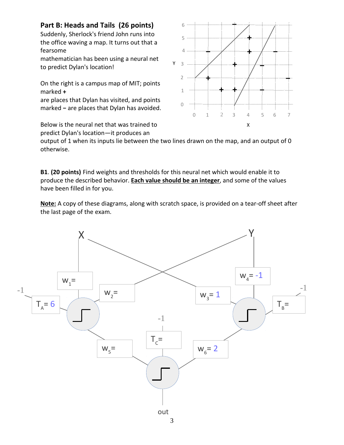#### **Part B: Heads and Tails (26 points)**

Suddenly, Sherlock's friend John runs into the office waving a map. It turns out that a fearsome

mathematician has been using a neural net to predict Dylan's location!

On the right is a campus map of MIT; points marked **+**

are places that Dylan has visited, and points marked **−** are places that Dylan has avoided.

Below is the neural net that was trained to predict Dylan's location—it produces an



output of 1 when its inputs lie between the two lines drawn on the map, and an output of 0 otherwise.

**B1**. **(20 points)** Find weights and thresholds for this neural net which would enable it to produce the described behavior. **Each value should be an integer**, and some of the values have been filled in for you.

**Note:** A copy of these diagrams, along with scratch space, is provided on a tear‐off sheet after the last page of the exam.

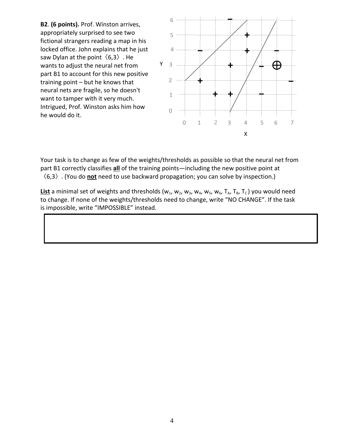**B2**. **(6 points).** Prof. Winston arrives, appropriately surprised to see two fictional strangers reading a map in his locked office. John explains that he just saw Dylan at the point  $(6,3)$ . He wants to adjust the neural net from part B1 to account for this new positive training point – but he knows that neural nets are fragile, so he doesn't want to tamper with it very much. Intrigued, Prof. Winston asks him how he would do it.



Your task is to change as few of the weights/thresholds as possible so that the neural net from part B1 correctly classifies **all** of the training points—including the new positive point at 〈6,3〉. (You do **not** need to use backward propagation; you can solve by inspection.)

**List** a minimal set of weights and thresholds ( $w_1$ ,  $w_2$ ,  $w_3$ ,  $w_4$ ,  $w_5$ ,  $w_6$ ,  $T_A$ ,  $T_B$ ,  $T_C$ ) you would need to change. If none of the weights/thresholds need to change, write "NO CHANGE". If the task is impossible, write "IMPOSSIBLE" instead.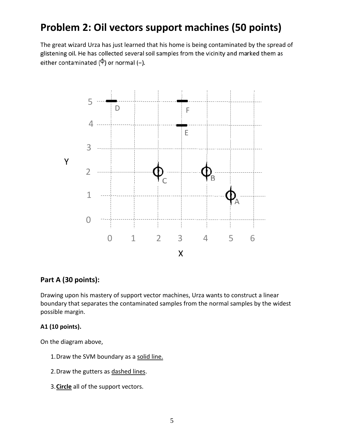### **Problem 2: Oil vectors support machines (50 points)**

The great wizard Urza has just learned that his home is being contaminated by the spread of glistening oil. He has collected several soil samples from the vicinity and marked them as either contaminated  $(\Phi)$  or normal (-).



#### **Part A (30 points):**

Drawing upon his mastery of support vector machines, Urza wants to construct a linear boundary that separates the contaminated samples from the normal samples by the widest possible margin.

#### **A1 (10 points).**

On the diagram above,

- 1. Draw the SVM boundary as a solid line.
- 2. Draw the gutters as dashed lines.
- 3.**Circle** all of the support vectors.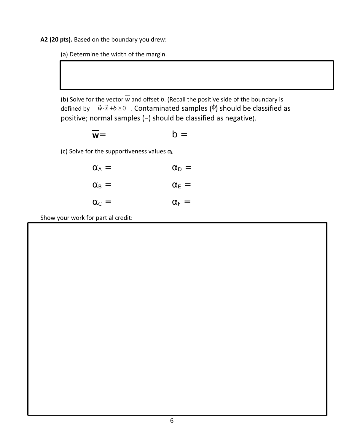**A2 (20 pts).** Based on the boundary you drew:

(a) Determine the width of the margin.

(b) Solve for the vector  $\overline{w}$  and offset *b*. (Recall the positive side of the boundary is defined by  $\vec{w}\cdot\vec{x}+b\geq 0$ . Contaminated samples ( $\oint$ ) should be classified as positive; normal samples (-) should be classified as negative).

$$
\overline{\mathbf{w}} = \mathbf{b} =
$$

(c) Solve for the supportiveness values  $\alpha_{i}$ .

| $\alpha_{\scriptscriptstyle\mathsf{A}}=$ | $\alpha_{D} =$ |
|------------------------------------------|----------------|
| $\alpha_{\text{\tiny B}} =$              | $\alpha_F =$   |
| $\alpha_{\text{c}} =$                    | $\alpha_F =$   |

Show your work for partial credit: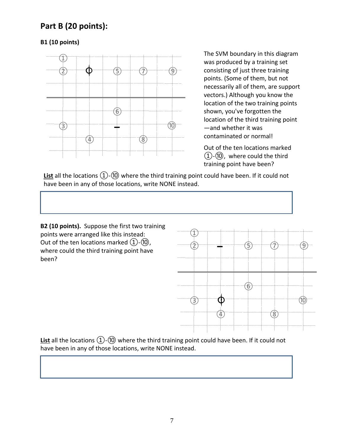### **Part B (20 points):**

#### **B1 (10 points)**



The SVM boundary in this diagram was produced by a training set consisting of just three training points. (Some of them, but not necessarily all of them, are support vectors.) Although you know the location of the two training points shown, you've forgotten the location of the third training point —and whether it was contaminated or normal!

Out of the ten locations marked  $(1)$ - $(0)$ , where could the third training point have been?

**List** all the locations  $(1)$ - $(0)$  where the third training point could have been. If it could not have been in any of those locations, write NONE instead.

**B2** (10 points). Suppose the first two training points were arranged like this instead: Out of the ten locations marked  $(1)$ - $(10)$ , where could the third training point have been?



**List** all the locations ①‐⑩ where the third training point could have been. If it could not have been in any of those locations, write NONE instead.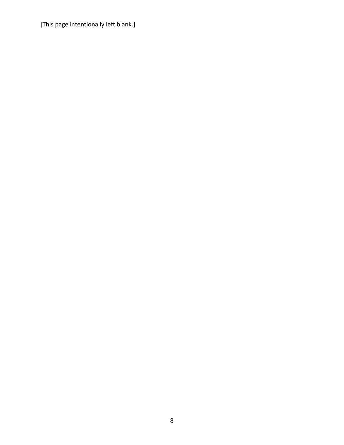[This page intentionally left blank.]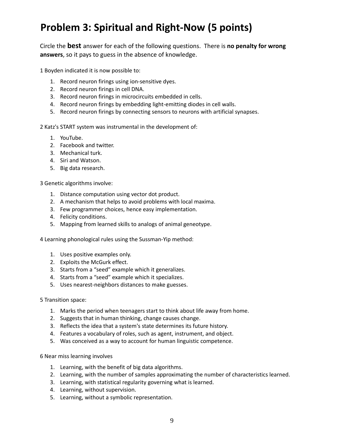### **Problem 3: Spiritual and Right‐Now (5 points)**

Circle the **best** answer for each of the following questions. There is **no penalty for wrong answers**, so it pays to guess in the absence of knowledge.

1 Boyden indicated it is now possible to:

- 1. Record neuron firings using ion-sensitive dyes.
- 2. Record neuron firings in cell DNA.
- 3. Record neuron firings in microcircuits embedded in cells.
- 4. Record neuron firings by embedding light-emitting diodes in cell walls.
- 5. Record neuron firings by connecting sensors to neurons with artificial synapses.

2 Katz's START system was instrumental in the development of:

- 1. YouTube.
- 2. Facebook and twitter.
- 3. Mechanical turk.
- 4. Siri and Watson.
- 5. Big data research.

3 Genetic algorithms involve:

- 1. Distance computation using vector dot product.
- 2. A mechanism that helps to avoid problems with local maxima.
- 3. Few programmer choices, hence easy implementation.
- 4. Felicity conditions.
- 5. Mapping from learned skills to analogs of animal geneotype.

4 Learning phonological rules using the Sussman‐Yip method:

- 1. Uses positive examples only.
- 2. Exploits the McGurk effect.
- 3. Starts from a "seed" example which it generalizes.
- 4. Starts from a "seed" example which it specializes.
- 5. Uses nearest‐neighbors distances to make guesses.

5 Transition space:

- 1. Marks the period when teenagers start to think about life away from home.
- 2. Suggests that in human thinking, change causes change.
- 3. Reflects the idea that a system's state determines its future history.
- 4. Features a vocabulary of roles, such as agent, instrument, and object.
- 5. Was conceived as a way to account for human linguistic competence.

6 Near miss learning involves

- 1. Learning, with the benefit of big data algorithms.
- 2. Learning, with the number of samples approximating the number of characteristics learned.
- 3. Learning, with statistical regularity governing what is learned.
- 4. Learning, without supervision.
- 5. Learning, without a symbolic representation.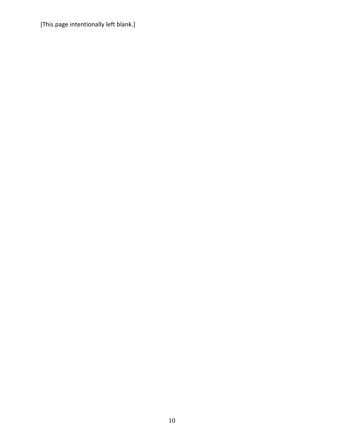[This page intentionally left blank.]